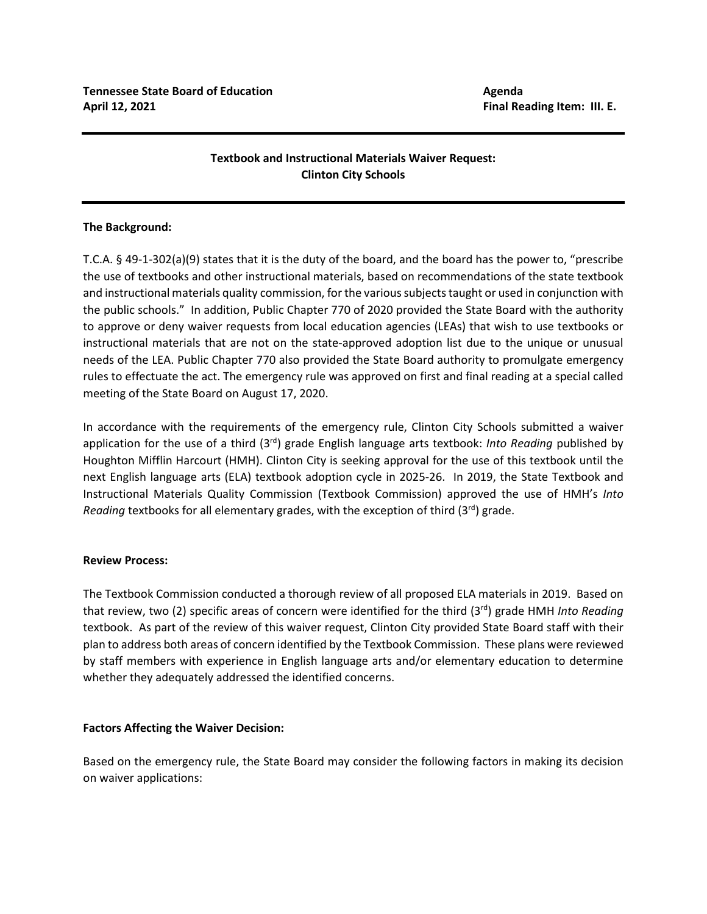# **Textbook and Instructional Materials Waiver Request: Clinton City Schools**

## **The Background:**

T.C.A. § 49-1-302(a)(9) states that it is the duty of the board, and the board has the power to, "prescribe the use of textbooks and other instructional materials, based on recommendations of the state textbook and instructional materials quality commission, for the various subjects taught or used in conjunction with the public schools." In addition, Public Chapter 770 of 2020 provided the State Board with the authority to approve or deny waiver requests from local education agencies (LEAs) that wish to use textbooks or instructional materials that are not on the state-approved adoption list due to the unique or unusual needs of the LEA. Public Chapter 770 also provided the State Board authority to promulgate emergency rules to effectuate the act. The emergency rule was approved on first and final reading at a special called meeting of the State Board on August 17, 2020.

In accordance with the requirements of the emergency rule, Clinton City Schools submitted a waiver application for the use of a third (3rd) grade English language arts textbook: *Into Reading* published by Houghton Mifflin Harcourt (HMH). Clinton City is seeking approval for the use of this textbook until the next English language arts (ELA) textbook adoption cycle in 2025-26. In 2019, the State Textbook and Instructional Materials Quality Commission (Textbook Commission) approved the use of HMH's *Into Reading* textbooks for all elementary grades, with the exception of third (3<sup>rd</sup>) grade.

### **Review Process:**

The Textbook Commission conducted a thorough review of all proposed ELA materials in 2019. Based on that review, two (2) specific areas of concern were identified for the third (3<sup>rd</sup>) grade HMH *Into Reading* textbook. As part of the review of this waiver request, Clinton City provided State Board staff with their plan to address both areas of concern identified by the Textbook Commission. These plans were reviewed by staff members with experience in English language arts and/or elementary education to determine whether they adequately addressed the identified concerns.

### **Factors Affecting the Waiver Decision:**

Based on the emergency rule, the State Board may consider the following factors in making its decision on waiver applications: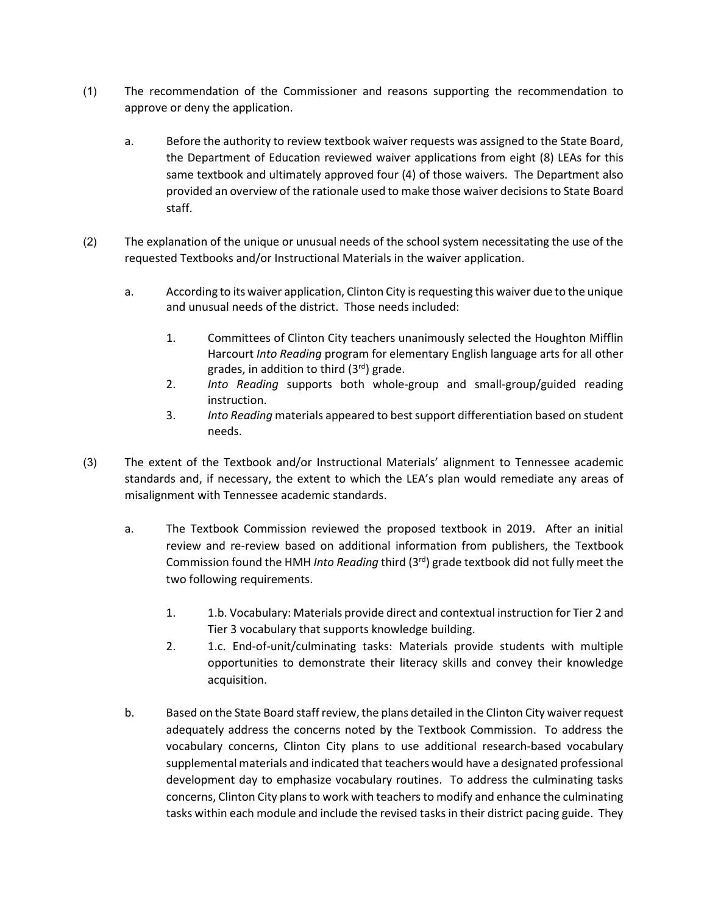- (1) The recommendation of the Commissioner and reasons supporting the recommendation to approve or deny the application.
	- a. Before the authority to review textbook waiver requests was assigned to the State Board, the Department of Education reviewed waiver applications from eight (8) LEAs for this same textbook and ultimately approved four (4) of those waivers. The Department also provided an overview of the rationale used to make those waiver decisions to State Board staff.
- (2) The explanation of the unique or unusual needs of the school system necessitating the use of the requested Textbooks and/or Instructional Materials in the waiver application.
	- a. According to its waiver application, Clinton City is requesting this waiver due to the unique and unusual needs of the district. Those needs included:
		- 1. Committees of Clinton City teachers unanimously selected the Houghton Mifflin Harcourt *Into Reading* program for elementary English language arts for all other grades, in addition to third  $(3<sup>rd</sup>)$  grade.
		- 2. *Into Reading* supports both whole-group and small-group/guided reading instruction.
		- 3. *Into Reading* materials appeared to best support differentiation based on student needs.
- (3) The extent of the Textbook and/or Instructional Materials' alignment to Tennessee academic standards and, if necessary, the extent to which the LEA's plan would remediate any areas of misalignment with Tennessee academic standards.
	- a. The Textbook Commission reviewed the proposed textbook in 2019. After an initial review and re-review based on additional information from publishers, the Textbook Commission found the HMH *Into Reading* third (3rd) grade textbook did not fully meet the two following requirements.
		- 1. 1.b. Vocabulary: Materials provide direct and contextual instruction for Tier 2 and Tier 3 vocabulary that supports knowledge building.
		- 2. 1.c. End-of-unit/culminating tasks: Materials provide students with multiple opportunities to demonstrate their literacy skills and convey their knowledge acquisition.
	- b. Based on the State Board staff review, the plans detailed in the Clinton City waiver request adequately address the concerns noted by the Textbook Commission. To address the vocabulary concerns, Clinton City plans to use additional research-based vocabulary supplemental materials and indicated that teachers would have a designated professional development day to emphasize vocabulary routines. To address the culminating tasks concerns, Clinton City plans to work with teachers to modify and enhance the culminating tasks within each module and include the revised tasks in their district pacing guide. They